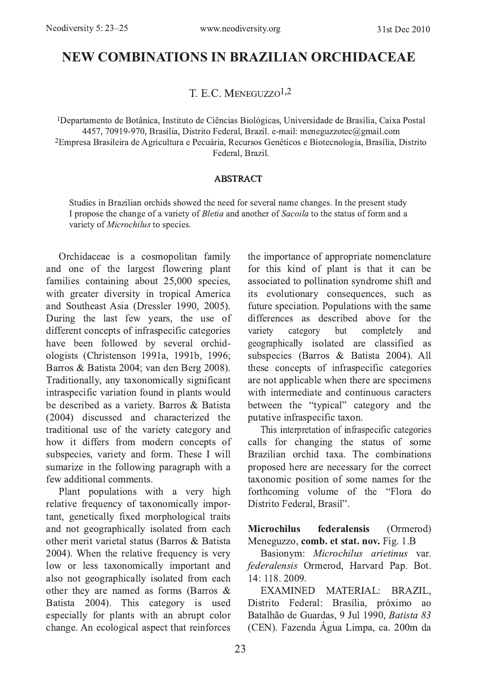# NEW COMBINATIONS IN BRAZILIAN ORCHIDACEAE

T. E.C. MENEGUZZO<sup>1,2</sup>

<sup>1</sup>Departamento de Botânica, Instituto de Ciências Biológicas, Universidade de Brasília, Caixa Postal 4457, 70919-970, Brasília, Distrito Federal, Brazil. e-mail: meneguzzotec@gmail.com <sup>2</sup>Empresa Brasileira de Agricultura e Pecuária, Recursos Genéticos e Biotecnologia, Brasília, Distrito Federal, Brazil.

#### **ABSTRACT**

Studies in Brazilian orchids showed the need for several name changes. In the present study I propose the change of a variety of Bletia and another of Sacoila to the status of form and a variety of *Microchilus* to species.

Orchidaceae is a cosmopolitan family and one of the largest flowering plant families containing about 25,000 species, with greater diversity in tropical America and Southeast Asia (Dressler 1990, 2005). During the last few years, the use of different concepts of infraspecific categories have been followed by several orchidologists (Christenson 1991a, 1991b, 1996; Barros & Batista 2004; van den Berg 2008). Traditionally, any taxonomically significant intraspecific variation found in plants would be described as a variety. Barros & Batista (2004) discussed and characterized the traditional use of the variety category and how it differs from modern concepts of subspecies, variety and form. These I will sumarize in the following paragraph with a few additional comments.

Plant populations with a very high relative frequency of taxonomically important, genetically fixed morphological traits and not geographically isolated from each other merit varietal status (Barros & Batista 2004). When the relative frequency is very low or less taxonomically important and also not geographically isolated from each other they are named as forms (Barros  $\&$ Batista 2004). This category is used especially for plants with an abrupt color change. An ecological aspect that reinforces the importance of appropriate nomenclature for this kind of plant is that it can be associated to pollination syndrome shift and its evolutionary consequences, such as future speciation. Populations with the same differences as described above for the variety category completely but and geographically isolated are classified as subspecies (Barros & Batista 2004). All these concepts of infraspecific categories are not applicable when there are specimens with intermediate and continuous caracters between the "typical" category and the putative infraspecific taxon.

This interpretation of infraspecific categories calls for changing the status of some Brazilian orchid taxa. The combinations proposed here are necessary for the correct taxonomic position of some names for the forthcoming volume of the "Flora do Distrito Federal, Brasil".

**Microchilus** federalensis (Ormerod) Meneguzzo, comb. et stat. nov. Fig. 1.B

Basionym: Microchilus arietinus var. federalensis Ormerod, Harvard Pap. Bot.  $14 \cdot 118$  2009

EXAMINED MATERIAL: BRAZIL, Distrito Federal: Brasília, próximo ao Batalhão de Guardas, 9 Jul 1990, Batista 83 (CEN). Fazenda Água Limpa, ca. 200m da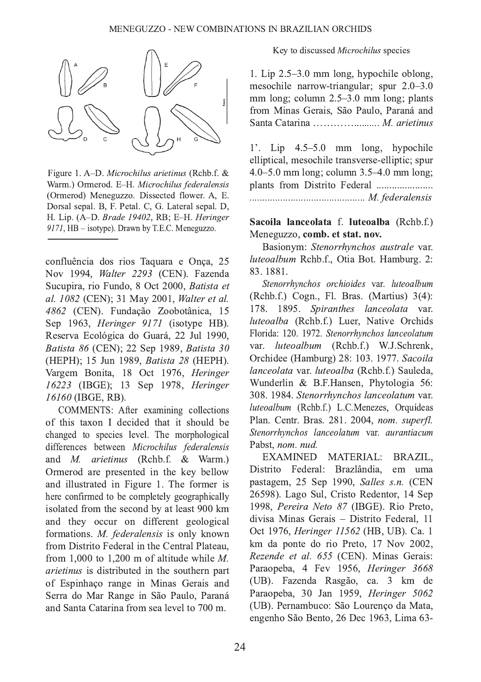

Figure 1. A-D. Microchilus arietinus (Rchb.f. & Warm.) Ormerod. E-H. Microchilus federalensis (Ormerod) Meneguzzo. Dissected flower. A, E. Dorsal sepal. B, F. Petal. C, G. Lateral sepal. D, H. Lip. (A-D. Brade 19402, RB; E-H. Heringer 9171, HB - isotype). Drawn by T.E.C. Meneguzzo.

confluência dos rios Taquara e Onça, 25 Nov 1994, Walter 2293 (CEN). Fazenda Sucupira, rio Fundo, 8 Oct 2000, Batista et al. 1082 (CEN); 31 May 2001, Walter et al. 4862 (CEN). Fundação Zoobotânica, 15 Sep 1963, *Heringer 9171* (isotype HB). Reserva Ecológica do Guará, 22 Jul 1990, Batista 86 (CEN); 22 Sep 1989, Batista 30 (HEPH): 15 Jun 1989, Batista 28 (HEPH). Vargem Bonita, 18 Oct 1976, Heringer 16223 (IBGE): 13 Sep 1978, Heringer 16160 (IBGE, RB).

COMMENTS: After examining collections of this taxon I decided that it should be changed to species level. The morphological differences between Microchilus federalensis and *M. arietinus* (Rchb.f. & Warm.) Ormerod are presented in the key bellow and illustrated in Figure 1. The former is here confirmed to be completely geographically isolated from the second by at least 900 km and they occur on different geological formations. M. federalensis is only known from Distrito Federal in the Central Plateau. from 1,000 to 1,200 m of altitude while  $M$ . *arietinus* is distributed in the southern part of Espinhaco range in Minas Gerais and Serra do Mar Range in São Paulo, Paraná and Santa Catarina from sea level to 700 m.

Key to discussed Microchilus species

1. Lip 2.5–3.0 mm long, hypochile oblong, mesochile narrow-triangular; spur 2.0–3.0 mm long; column 2.5–3.0 mm long; plants from Minas Gerais, São Paulo, Paraná and 

1'. Lip  $4.5-5.0$  mm long, hypochile elliptical, mesochile transverse-elliptic; spur 4.0–5.0 mm long; column  $3.5-4.0$  mm long; plants from Distrito Federal ...................... 

### Sacoila lanceolata f. luteoalba (Rchb.f.) Meneguzzo, comb. et stat. nov.

Basionym: Stenorrhynchos australe var. luteoalbum Rchb.f., Otia Bot. Hamburg. 2: 83.1881.

Stenorrhynchos orchioides var. luteoalbum (Rchb.f.) Cogn., Fl. Bras. (Martius) 3(4): 178. 1895. Spiranthes lanceolata var. luteoalba (Rchb.f.) Luer, Native Orchids Florida: 120. 1972. Stenorrhynchos lanceolatum luteoalbum (Rchb.f.) W.J.Schrenk, var. Orchidee (Hamburg) 28: 103. 1977. Sacoila lanceolata var. luteoalba (Rchb.f.) Sauleda, Wunderlin & B.F.Hansen, Phytologia 56: 308. 1984. Stenorrhynchos lanceolatum var. luteoalbum (Rchb.f.) L.C.Menezes, Orauídeas Plan. Centr. Bras. 281. 2004, nom. superfl. Stenorrhynchos lanceolatum var. aurantiacum Pabst, nom. nud.

**EXAMINED** MATERIAL: BRAZIL, Distrito Federal: Brazlândia, em uma pastagem, 25 Sep 1990, Salles s.n. (CEN 26598). Lago Sul. Cristo Redentor, 14 Sep 1998, Pereira Neto 87 (IBGE). Rio Preto, divisa Minas Gerais - Distrito Federal, 11 Oct 1976. Heringer 11562 (HB, UB). Ca. 1 km da ponte do rio Preto, 17 Nov 2002, Rezende et al. 655 (CEN). Minas Gerais: Paraopeba, 4 Fev 1956, Heringer 3668 (UB). Fazenda Rasgão, ca. 3 km de Paraopeba, 30 Jan 1959, Heringer 5062 (UB). Pernambuco: São Lourenço da Mata, engenho São Bento, 26 Dec 1963, Lima 63